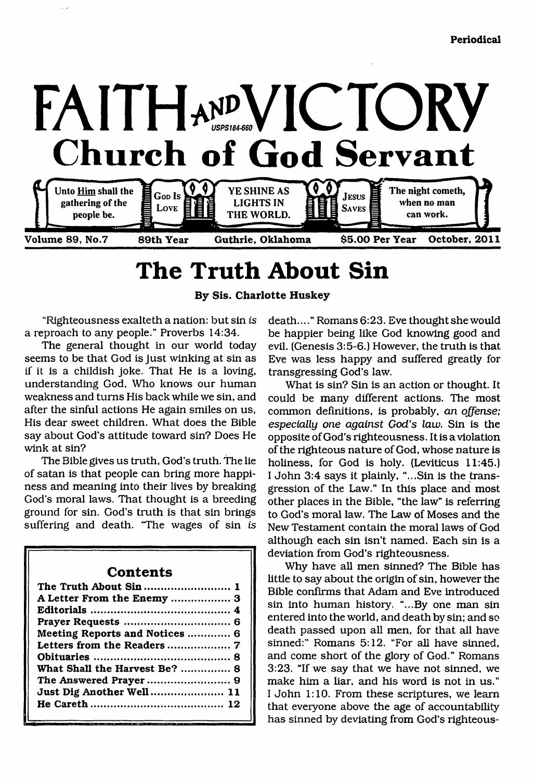

# **The Truth About Sin**

**By Sis. Charlotte Huskey**

"Righteousness exalteth a nation: but sin *is* a reproach to any people." Proverbs 14:34.

The general thought in our world today seems to be that God is just winking at sin as if it is a childish joke. That He is a loving, understanding God, Who knows our human weakness and turns His back while we sin, and after the sinful actions He again smiles on us, His dear sweet children. What does the Bible say about God's attitude toward sin? Does He wink at sin?

The Bible gives us truth, God's truth. The lie of satan is that people can bring more happiness and meaning into their lives by breaking God's moral laws. That thought is a breeding ground for sin. God's truth is that sin brings suffering and death. 'The wages of sin *is*

## **Contents**

| The Truth About Sin 1          |
|--------------------------------|
|                                |
|                                |
|                                |
| Meeting Reports and Notices  6 |
|                                |
|                                |
| What Shall the Harvest Be?  8  |
|                                |
| Just Dig Another Well 11       |
|                                |
|                                |

death...." Romans 6:23. Eve thought she would be happier being like God knowing good and evil. (Genesis 3:5-6.) However, the truth is that Eve was less happy and suffered greatly for transgressing God's law.

What is sin? Sin is an action or thought. It could be many different actions. The most common definitions, is probably, *an offense; especially one against God's law.* Sin is the opposite of God's righteousness. It is a violation of the righteous nature of God, whose nature is holiness, for God is holy. (Leviticus 11:45.) I John 3:4 says it plainly, "...Sin is the transgression of the Law." In this place and most other places in the Bible, "the law" is referring to God's moral law. The Law of Moses and the New Testament contain the moral laws of God although each sin isn't named. Each sin is a deviation from God's righteousness.

Why have all men sinned? The Bible has little to say about the origin of sin, however the Bible confirms that Adam and Eve introduced sin into human history. "...By one man sin entered into the world, and death by sin; and so death passed upon all men, for that all have sinned:" Romans 5:12. "For all have sinned, and come short of the glory of God." Romans 3:23. "If we say that we have not sinned, we make him a liar, and his word is not in us." I John 1:10. From these scriptures, we learn that everyone above the age of accountability has sinned by deviating from God's righteous-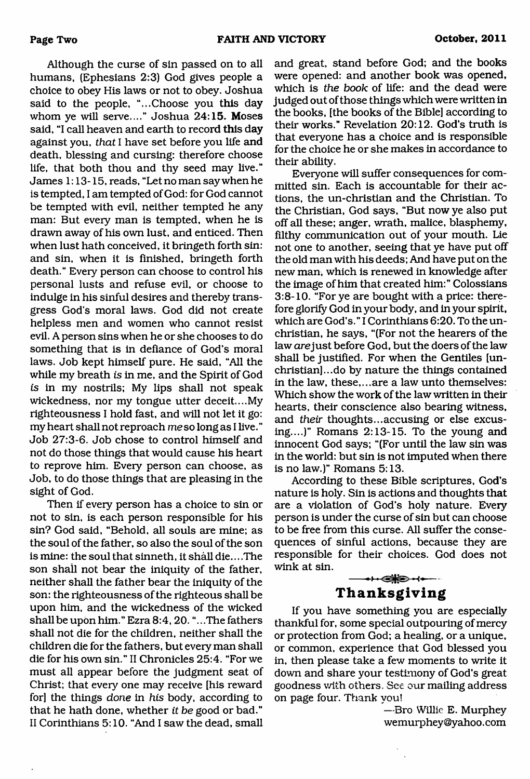Although the curse of sin passed on to all humans, (Ephesians 2:3) God gives people a choice to obey His laws or not to obey. Joshua said to the people, "...Choose you this day whom ye will serve...." Joshua 24:15. Moses said, "I call heaven and earth to record this day against you, *that* I have set before you life and death, blessing and cursing: therefore choose life, that both thou and thy seed may live." James 1:13-15, reads, "Let no man say when he is tempted, I am tempted of God: for God cannot be tempted with evil, neither tempted he any man: But every man is tempted, when he is drawn away of his own lust, and enticed. Then when lust hath conceived, it bringeth forth sin: and sin, when it is finished, bringeth forth death." Every person can choose to control his personal lusts and refuse evil, or choose to indulge in his sinful desires and thereby transgress God's moral laws. God did not create helpless men and women who cannot resist evil. A person sins when he or she chooses to do something that is in defiance of God's moral laws. Job kept himself pure. He said, "All the while my breath *is* in me, and the Spirit of God is in my nostrils; My lips shall not speak wickedness, nor my tongue utter deceit....My righteousness I hold fast, and will not let it go: my heart shall not reproach me so long as I live." Job 27:3-6. Job chose to control himself and not do those things that would cause his heart to reprove him. Every person can choose, as Job, to do those things that are pleasing in the sight of God.

Then if every person has a choice to sin or not to sin, is each person responsible for his sin? God said, "Behold, all souls are mine; as the soul of the father, so also the soul of the son is mine: the soul that sinneth, it shall die... .The son shall not bear the iniquity of the father, neither shall the father bear the iniquity of the son: the righteousness of the righteous shall be upon him, and the wickedness of the wicked shall be upon him." Ezra 8:4, 20. "...The fathers shall not die for the children, neither shall the children die for the fathers, but every man shall die for his own sin." II Chronicles 25:4. "For we must all appear before the judgment seat of Christ; that every one may receive [his reward for] the things *done* in *his* body, according to that he hath done, whether *it be* good or bad." II Corinthians 5:10. "And I saw the dead, small

and great, stand before God; and the books were opened: and another book was opened, which is *the book* of life: and the dead were judged out of those things which were written in the books, [the books of the Bible] according to their works." Revelation 20:12. God's truth is that everyone has a choice and is responsible for the choice he or she makes in accordance to their ability.

Everyone will suffer consequences for committed sin. Each is accountable for their actions, the un-christian and the Christian. To the Christian, God says, "But now ye also put off all these; anger, wrath, malice, blasphemy, filthy communication out of your mouth. Lie not one to another, seeing that ye have put off the old man with his deeds; And have put on the new man, which is renewed in knowledge after the image of him that created him:" Colossians 3:8-10. "For ye are bought with a price: therefore glorify God in your body, and in your spirit, which are God's." I Corinthians 6:20. To the unchristian, he says, "(For not the hearers of the law *are* just before God, but the doers of the law shall be justified. For when the Gentiles [unchristian]... do by nature the things contained in the law, these,...are a law unto themselves: Which show the work of the law written in their hearts, their conscience also bearing witness, and *their* thoughts...accusing or else excusing....)" Romans 2:13-15. To the young and innocent God says; "(For until the law sin was in the world: but sin is not imputed when there is no law.)" Romans 5:13.

According to these Bible scriptures, God's nature is holy. Sin is actions and thoughts that are a violation of God's holy nature. Every person is under the curse of sin but can choose to be free from this curse. All suffer the consequences of sinful actions, because they are responsible for their choices. God does not wink at sin.  $+$   $+$   $+$ 

## **Thanksgiving**

If you have something you are especially thankful for, some special outpouring of mercy or protection from God; a healing, or a unique, or common, experience that God blessed you in, then please take a few moments to write it down and share your testimony of God's great goodness with others. See our mailing address on page four. Thank you!

> —Bro Willie E. Murphey wemurphey ©yahoo. com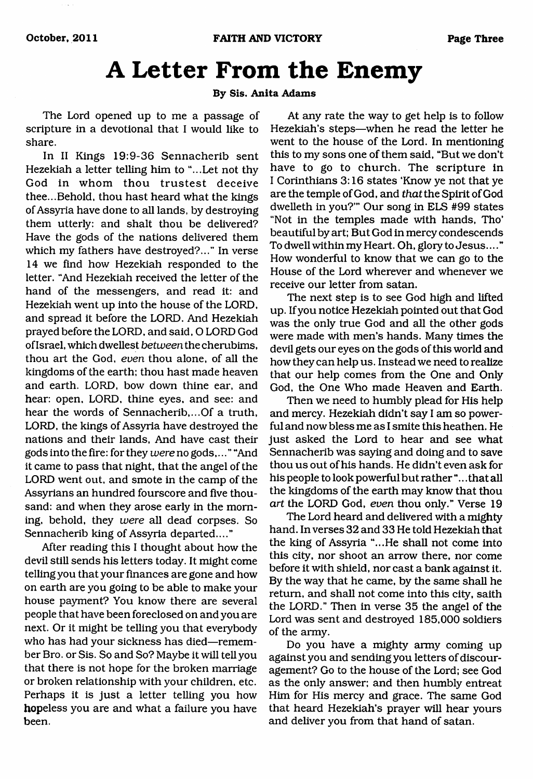# **A Letter From the Enemy**

#### **By Sis. Anita Adams**

The Lord opened up to me a passage of scripture in a devotional that I would like to share.

In II Kings 19:9-36 Sennacherib sent Hezekiah a letter telling him to "...Let not thy God in whom thou trustest deceive thee...Behold, thou hast heard what the kings of Assyria have done to all lands, by destroying them utterly: and shalt thou be delivered? Have the gods of the nations delivered them which my fathers have destroyed?..." In verse 14 we find how Hezekiah responded to the letter. "And Hezekiah received the letter of the hand of the messengers, and read it: and Hezekiah went up into the house of the LORD, and spread it before the LORD. And Hezekiah prayed before the LORD, and said, O LORD God of Israel, which dwellest *between* the cherubims, thou art the God, *even* thou alone, of all the kingdoms of the earth: thou hast made heaven and earth. LORD, bow down thine ear, and hear: open, LORD, thine eyes, and see: and hear the words of Sennacherib,...Of a truth, LORD, the kings of Assyria have destroyed the nations and their lands, And have cast their gods into the fire: for they *were no* gods,... " "And it came to pass that night, that the angel of the LORD went out. and smote in the camp of the Assyrians an hundred fourscore and five thousand: and when they arose early in the morning, behold, they *were* all dead corpses. So Sennacherib king of Assyria departed...."

After reading this I thought about how the devil still sends his letters today. It might come telling you that your finances are gone and how on earth are you going to be able to make your house payment? You know there are several people that have been foreclosed on and you are next. Or it might be telling you that everybody who has had your sickness has died—remember Bro. or Sis. So and So? Maybe it will tell you that there is not hope for the broken marriage or broken relationship with your children, etc. Perhaps it is just a letter telling you how hopeless you are and what a failure you have been.

At any rate the way to get help is to follow Hezekiah's steps—when he read the letter he went to the house of the Lord. In mentioning this to my sons one of them said, "But we don't have to go to church. The scripture in I Corinthians 3:16 states 'Know ye not that ye are the temple of God, and *that* the Spirit of God dwelleth in you?'" Our song in ELS #99 states "Not in the temples made with hands, Tho' beautiful by art; But God in mercy condescends To dwell within my Heart. Oh, glory to Jesus.... " How wonderful to know that we can go to the House of the Lord wherever and whenever we receive our letter from satan.

The next step is to see God high and lifted up. If you notice Hezekiah pointed out that God was the only true God and all the other gods were made with men's hands. Many times the devil gets our eyes on the gods of this world and how they can help us. Instead we need to realize that our help comes from the One and Only God, the One Who made Heaven and Earth.

Then we need to humbly plead for His help and mercy. Hezekiah didn't say I am so powerful and now bless me as I smite this heathen. He just asked the Lord to hear and see what Sennacherib was saying and doing and to save thou us out of his hands. He didn't even ask for his people to look powerful but rather "... that all the kingdoms of the earth may know that thou *art* the LORD God, *even* thou only." Verse 19

The Lord heard and delivered with a mighty hand. In verses 32 and 33 He told Hezekiah that the king of Assyria "...He shall not come into this city, nor shoot an arrow there, nor come before it with shield, nor cast a bank against it. By the way that he came, by the same shall he return, and shall not come into this city, saith the LORD." Then in verse 35 the angel of the Lord was sent and destroyed 185,000 soldiers of the army.

Do you have a mighty army coming up against you and sending you letters of discouragement? Go to the house of the Lord; see God as the only answer; and then humbly entreat Him for His mercy and grace. The same God that heard Hezekiah's prayer will hear yours and deliver you from that hand of satan.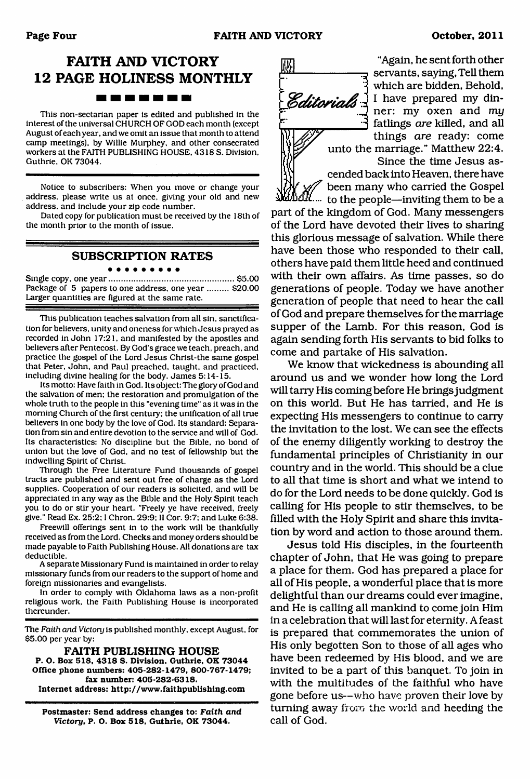### **FAITH AND VICTORY 12 PAGE HOLINESS MONTHLY** -------

This non-sectarian paper is edited and published in the interest of the universal CHURCH OF GOD each month (except August of each year, and we omit an issue that month to attend camp meetings), by Willie Murphey, and other consecrated workers at the FAITH PUBLISHING HOUSE. 4318 S. Division. Guthrie. OK 73044.

Notice to subscribers: When you move or change your address, please write us at once, giving your old and new address, and include your zip code number.

Dated copy for publication must be received by the 18th of the month prior to the month of issue.

#### **SUBSCRIPTION RATES** . . . . . . . . .

Single copy, one y e a r............................................................\$5.00 Package of 5 papers to one address, one year ......... \$20.00 Larger quantities are figured at the same rate.

This publication teaches salvation from all sin, sanctification for believers, unity and oneness for which Jesus prayed as recorded in John 17:21. and manifested by the apostles and believers after Pentecost. By God's grace we teach, preach, and practice the gospel of the Lord Jesus Christ-the same gospel that Peter. John, and Paul preached, taught, and practiced, including divine healing for the body. James  $5:14-15$ .

Its motto: Have faith in God. Its object: The glory of God and the salvation of men: the restoration and promulgation of the whole truth to the people in this "evening time" as it was in the morning Church of the first century: the unification of all true believers in one body by the love of God. Its standard: Separation from sin and entire devotion to the service and will of God. Its characteristics: No discipline but the Bible, no bond of union but the love of God. and no test of fellowship but the indwelling Spirit of Christ.

Through the Free Literature Fund thousands of gospel tracts are published and sent out free of charge as the Lord supplies. Cooperation of our readers is solicited, and will be appreciated in any way as the Bible and the Holy Spirit teach you to do or stir your heart. "Freely ye have received, freely give." Read Ex. 25:2; I Chron. 29:9: II Cor. 9:7: and Luke 6:38.

Freewill offerings sent in to the work will be thankfully received as from the Lord. Checks and money orders should be made payable to Faith Publishing House. All donations are tax deductible.

A separate Missionary Fund is maintained in order to relay missionary funds from our readers to the support of home and foreign missionaries and evangelists.

In order to comply with Oklahoma laws as a non-profit religious work, the Faith Publishing House is incorporated thereunder.

The *Faith and Victonj* is published monthly, except August, for \$5.00 per year by:

**FAITH PUBLISHING HOUSE P. O. Box 518, 4318 S. Division. Guthrie, OK 73044 Office phone numbers: 405-282-1479, 800-767-1479; fax number: 405-282-6318. Internet address: <http://vrww.faithpublishing.com>**

**Postmaster: Send address changes to:** *Faith and Victory,* **P. O. Box 518, Guthrie, OK 73044.**



"Again, he sent forth other servants, saying, Tell them which are bidden, Behold, **Editorials** I have prepared my dinfatlings *are* killed, and all things *are* ready: come unto the marriage." Matthew 22:4. Since the time Jesus as-

cended back into Heaven, there have been many who carried the Gospel

 $d\mathcal{U}_{\cdots}$  to the people—inviting them to be a part of the kingdom of God. Many messengers of the Lord have devoted their lives to sharing this glorious message of salvation. While there have been those who responded to their call, others have paid them little heed and continued with their own affairs. As time passes, so do generations of people. Today we have another generation of people that need to hear the call of God and prepare themselves for the marriage supper of the Lamb. For this reason, God is again sending forth His servants to bid folks to come and partake of His salvation.

We know that wickedness is abounding all around us and we wonder how long the Lord will tarry His coming before He brings judgment on this world. But He has tarried, and He is expecting His messengers to continue to carry the invitation to the lost. We can see the effects of the enemy diligently working to destroy the fundamental principles of Christianity in our country and in the world. This should be a clue to all that time is short and what we intend to do for the Lord needs to be done quickly. God is calling for His people to stir themselves, to be filled with the Holy Spirit and share this invitation by word and action to those around them.

Jesus told His disciples, in the fourteenth chapter of John, that He was going to prepare a place for them. God has prepared a place for all of His people, a wonderful place that is more delightful than our dreams could ever imagine, and He is calling all mankind to come join Him in a celebration that will last for eternity. A feast is prepared that commemorates the union of His only begotten Son to those of all ages who have been redeemed by His blood, and we are invited to be a part of this banquet. To join in with the multitudes of the faithful who have gone before us—who have proven their love by turning away from the world and heeding the call of God.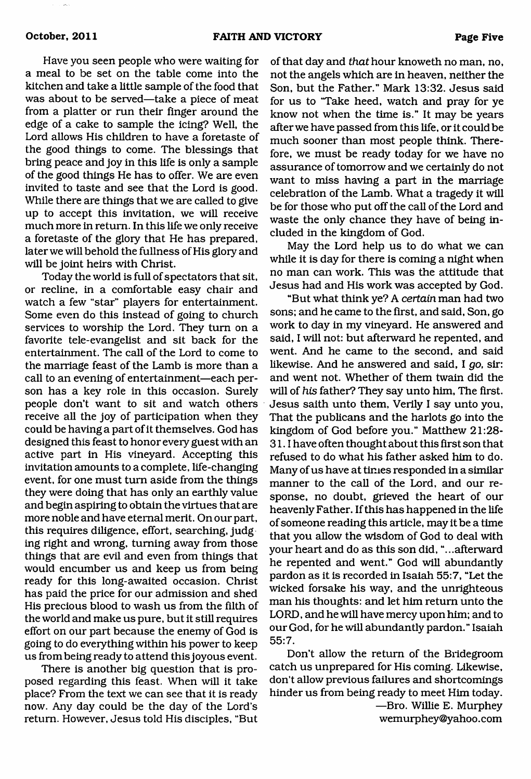Have you seen people who were waiting for a meal to be set on the table come into the kitchen and take a little sample of the food that was about to be served—take a piece of meat from a platter or run their finger around the edge of a cake to sample the icing? Well, the Lord allows His children to have a foretaste of the good things to come. The blessings that bring peace and joy in this life is only a sample of the good things He has to offer. We are even invited to taste and see that the Lord is good. While there are things that we are called to give up to accept this invitation, we will receive much more in return. In this life we only receive a foretaste of the glory that He has prepared, later we will behold the fullness of His glory and will be joint heirs with Christ.

Today the world is full of spectators that sit, or recline, in a comfortable easy chair and watch a few "star" players for entertainment. Some even do this instead of going to church services to worship the Lord. They turn on a favorite tele-evangelist and sit back for the entertainment. The call of the Lord to come to the marriage feast of the Lamb is more than a call to an evening of entertainment—each person has a key role in this occasion. Surely people don't want to sit and watch others receive all the joy of participation when they could be having a part of it themselves. God has designed this feast to honor every guest with an active part in His vineyard. Accepting this invitation amounts to a complete, life-changing event, for one must turn aside from the things they were doing that has only an earthly value and begin aspiring to obtain the virtues that are more noble and have eternal merit. On our part, this requires diligence, effort, searching, judg ing right and wrong, turning away from those things that are evil and even from things that would encumber us and keep us from being ready for this long-awaited occasion. Christ has paid the price for our admission and shed His precious blood to wash us from the filth of the world and make us pure, but it still requires effort on our part because the enemy of God is going to do everything within his power to keep us from being ready to attend this joyous event.

There is another big question that is proposed regarding this feast. When will it take place? From the text we can see that it is ready now. Any day could be the day of the Lord's return. However, Jesus told His disciples, "But

of that day and *that* hour knoweth no man, no, not the angels which are in heaven, neither the Son, but the Father." Mark 13:32. Jesus said for us to 'Take heed, watch and pray for ye know not when the time is." It may be years after we have passed from this life, or it could be much sooner than most people think. Therefore, we must be ready today for we have no assurance of tomorrow and we certainly do not want to miss having a part in the marriage celebration of the Lamb. What a tragedy it will be for those who put off the call of the Lord and waste the only chance they have of being included in the kingdom of God.

May the Lord help us to do what we can while it is day for there is coming a night when no man can work. This was the attitude that Jesus had and His work was accepted by God.

"But what think ye? A *certain* man had two sons; and he came to the first, and said, Son, go work to day in my vineyard. He answered and said, I will not: but afterward he repented, and went. And he came to the second, and said likewise. And he answered and said, I *go,* sir: and went not. Whether of them twain did the will of *his* father? They say unto him, The first. Jesus saith unto them, Verily I say unto you, That the publicans and the harlots go into the kingdom of God before you." Matthew 21:28- 31.1 have often thought about this first son that refused to do what his father asked him to do. Many of us have at times responded in a similar manner to the call of the Lord, and our response, no doubt, grieved the heart of our heavenly Father. If this has happened in the life of someone reading this article, may it be a time that you allow the wisdom of God to deal with your heart and do as this son did, "...afterward he repented and went." God will abundantly pardon as it is recorded in Isaiah 55:7, "Let the wicked forsake his way, and the unrighteous man his thoughts: and let him return unto the LORD, and he will have mercy upon him; and to our God, for he will abundantly pardon." Isaiah 55:7.

Don't allow the return of the Bridegroom catch us unprepared for His coming. Likewise, don't allow previous failures and shortcomings hinder us from being ready to meet Him today.

> —Bro. Willie E. Murphey wemurphey@yahoo. com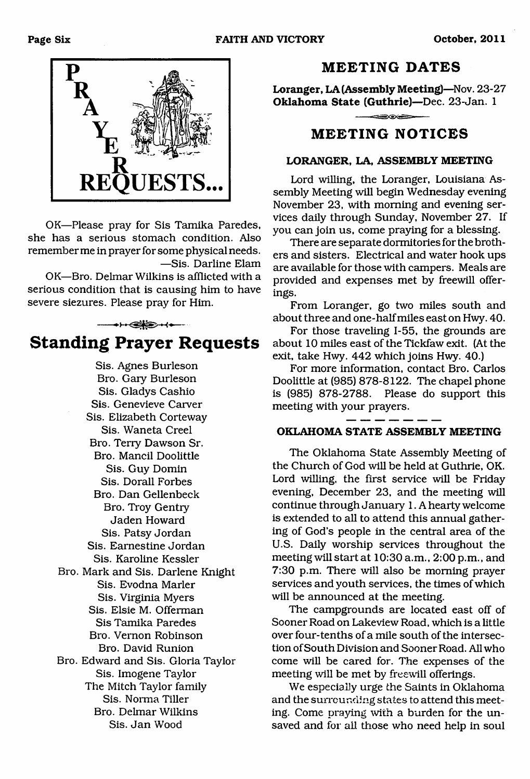

OK—Please pray for Sis Tamika Paredes, she has a serious stomach condition. Also remember me in prayer for some physical needs. —Sis. Darline Elam

OK—Bro. Delmar Wilkins is afflicted with a serious condition that is causing him to have severe siezures. Please pray for Him.

------------------------------------------- **Standing Prayer Requests**

> Sis. Agnes Burleson Bro. Gary Burleson Sis. Gladys Cashio Sis. Genevieve Carver Sis. Elizabeth Corteway Sis. Waneta Creel Bro. Terry Dawson Sr. Bro. Mancil Doolittle Sis. Guy Domin Sis. Dorall Forbes Bro. Dan Gellenbeck Bro. Troy Gentry Jaden Howard Sis. Patsy Jordan Sis. Eamestine Jordan Sis. Karoline Kessler Bro. Mark and Sis. Darlene Knight Sis. Evodna Marler Sis. Virginia Myers Sis. Elsie M. Offerman Sis Tamika Paredes Bro. Vernon Robinson Bro. David Runion Bro. Edward and Sis. Gloria Taylor Sis. Imogene Taylor The Mitch Taylor family Sis. Norma Tiller Bro. Delmar Wilkins Sis. Jan Wood

#### **MEETING DATES**

**Loranger, LA (Assembly Meeting)**—Nov. 23-27 **Oklahoma State (Guthrie)**—Dec. 23-Jan. 1

دها المتواصية

### **MEETING NOTICES**

#### **LORANGER, LA, ASSEMBLY MEETING**

Lord willing, the Loranger, Louisiana Assembly Meeting will begin Wednesday evening November 23, with morning and evening services daily through Sunday, November 27. If you can join us, come praying for a blessing.

There are separate dormitories for the brothers and sisters. Electrical and water hook ups are available for those with campers. Meals are provided and expenses met by freewill offerings.

From Loranger, go two miles south and about three and one-half miles east on Hwy. 40.

For those traveling 1-55, the grounds are about 10 miles east of the Tickfaw exit. (At the exit, take Hwy. 442 which joins Hwy. 40.)

For more information, contact Bro. Carlos Doolittle at (985) 878-8122. The chapel phone is (985) 878-2788. Please do support this meeting with your prayers.

#### **OKLAHOMA STATE ASSEMBLY MEETING**

The Oklahoma State Assembly Meeting of the Church of God will be held at Guthrie, OK. Lord willing, the first service will be Friday evening, December 23, and the meeting will continue through January 1. A hearty welcome is extended to all to attend this annual gathering of God's people in the central area of the U.S. Daily worship services throughout the meeting will start at 10:30 a.m., 2:00 p.m., and 7:30 p.m. There will also be morning prayer services and youth services, the times of which will be announced at the meeting.

The campgrounds are located east off of Sooner Road on Lakeview Road, which is a little over four-tenths of a mile south of the intersection of South Division and Sooner Road. All who come will be cared for. The expenses of the meeting will be met by freewill offerings.

We especially urge the Saints in Oklahoma and the surrounding states to attend this meeting. Come praying with a burden for the unsaved and for all those who need help in soul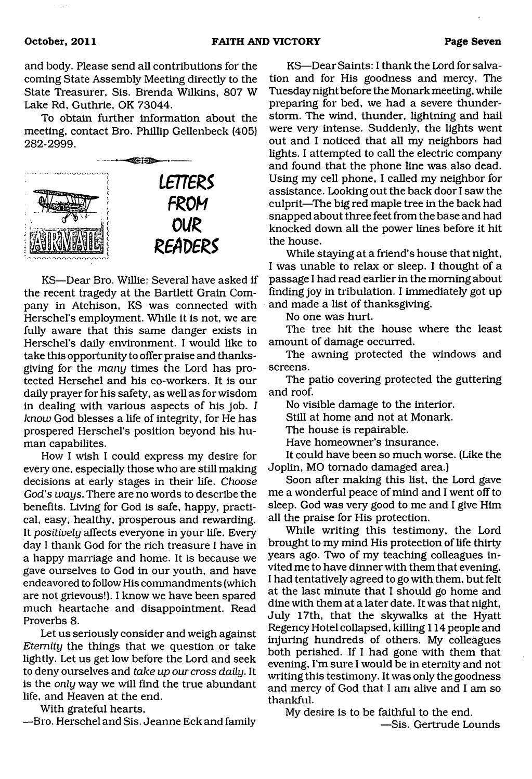and body. Please send all contributions for the coming State Assembly Meeting directly to the State Treasurer, Sis. Brenda Wilkins, 807 W Lake Rd, Guthrie, OK 73044.

To obtain further information about the meeting, contact Bro. Phillip Gellenbeck (405) 282-2999.



KS—Dear Bro. Willie: Several have asked if the recent tragedy at the Bartlett Grain Company in Atchison, KS was connected with Herschel's employment. While it is not, we are fully aware that this same danger exists in Herschel's daily environment. I would like to take this opportunity to offer praise and thanksgiving for the *many* times the Lord has protected Herschel and his co-workers. It is our daily prayer for his safety, as well as for wisdom in dealing with various aspects of his job. *I know* God blesses a life of integrity, for He has prospered Herschel's position beyond his human capabilites.

How I wish I could express my desire for every one, especially those who are still making decisions at early stages in their life. *Choose God's ways.* There are no words to describe the benefits. Living for God is safe, happy, practical, easy, healthy, prosperous and rewarding. It *positively* affects everyone in your life. Every day I thank God for the rich treasure I have in a happy marriage and home. It is because we gave ourselves to God in our youth, and have endeavored to follow His commandments (which are not grievous!). I know we have been spared much heartache and disappointment. Read Proverbs 8.

Let us seriously consider and weigh against *Eternity* the things that we question or take lightly. Let us get low before the Lord and seek to deny ourselves and *take up our cross daily.* It is the *only* way we will find the true abundant life, and Heaven at the end.

With grateful hearts,

—Bro. Herschel and Sis. Jeanne Eck and family

KS—Dear Saints: I thank the Lord for salvation and for His goodness and mercy. The Tuesday night before the Monark meeting, while preparing for bed, we had a severe thunderstorm. The wind, thunder, lightning and hail were very intense. Suddenly, the lights went out and I noticed that all my neighbors had lights. I attempted to call the electric company and found that the phone line was also dead. Using my cell phone, I called my neighbor for assistance. Looking out the back door I saw the culprit—The big red maple tree in the back had snapped about three feet from the base and had knocked down all the power lines before it hit the house.

While staying at a friend's house that night, I was unable to relax or sleep. I thought of a passage I had read earlier in the morning about finding joy in tribulation. I immediately got up and made a list of thanksgiving.

No one was hurt.

The tree hit the house where the least amount of damage occurred.

The awning protected the windows and screens.

The patio covering protected the guttering and roof.

No visible damage to the interior.

Still at home and not at Monark.

The house is repairable.

Have homeowner's insurance.

It could have been so much worse. (Like the Joplin, MO tornado damaged area.)

Soon after making this list, the Lord gave me a wonderful peace of mind and I went off to sleep. God was very good to me and I give Him all the praise for His protection.

While writing this testimony, the Lord brought to my mind His protection of life thirty years ago. Two of my teaching colleagues invited me to have dinner with them that evening. I had tentatively agreed to go with them, but felt at the last minute that I should go home and dine with them at a later date. It was that night, July 17th, that the skywalks at the Hyatt Regency Hotel collapsed, killing 114 people and injuring hundreds of others. My colleagues both perished. If I had gone with them that evening, I'm sure I would be in eternity and not writing this testimony. It was only the goodness and mercy of God that I am alive and I am so thankful.

My desire is to be faithful to the end.

—Sis. Gertrude Lounds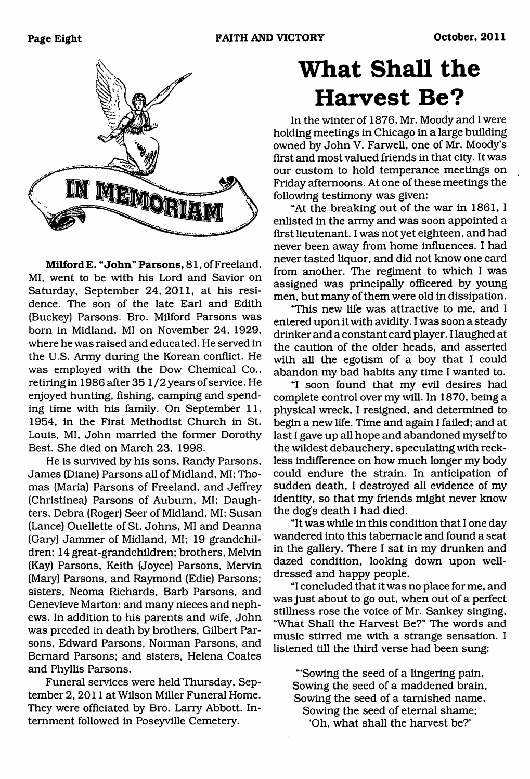

**Milford E. "John" Parsons,** 81, of Freeland, MI, went to be with his Lord and Savior on Saturday, September 24,2011, at his residence. The son of the late Earl and Edith (Buckey) Parsons. Bro. Milford Parsons was bom in Midland, MI on November 24, 1929, where he was raised and educated. He served in the U.S. Army during the Korean conflict. He was employed with the Dow Chemical Co., retiring in 1986 after 35 1 /2 years of service. He enjoyed hunting, fishing, camping and spending time with his family. On September 11, 1954, in the First Methodist Church in St. Louis, MI, John married the former Dorothy Best. She died on March 23, 1998.

He is survived by his sons, Randy Parsons, James (Diane) Parsons all of Midland, MI; Thomas (Maria) Parsons of Freeland, and Jeffrey (Christinea) Parsons of Auburn, MI; Daughters, Debra (Roger) Seer of Midland, MI; Susan (Lance) Ouellette of St. Johns, MI and Deanna (Gary) Jammer of Midland, MI; 19 grandchildren; 14 great-grandchildren; brothers, Melvin (Kay) Parsons, Keith (Joyce) Parsons, Mervin (Mary) Parsons, and Raymond (Edie) Parsons; sisters, Neoma Richards, Barb Parsons, and Genevieve Marton: and many nieces and nephews. In addition to his parents and wife, John was prceded in death by brothers, Gilbert Parsons, Edward Parsons, Norman Parsons, and Bernard Parsons; and sisters, Helena Coates and Phyllis Parsons.

Funeral services were held Thursday, September 2, 2011 at Wilson Miller Funeral Home. They were officiated by Bro. Larry Abbott. Internment followed in Poseyville Cemetery.

# **What Shall the Harvest Be?**

In the winter of 1876, Mr. Moody and I were holding meetings in Chicago in a large building owned by John V. Farwell, one of Mr. Moody's first and most valued friends in that city. It was our custom to hold temperance meetings on Friday afternoons. At one of these meetings the following testimony was given;

"At the breaking out of the war in 1861, I enlisted in the army and was soon appointed a first lieutenant. I was not yet eighteen, and had never been away from home influences. I had never tasted liquor, and did not know one card from another. The regiment to which I was assigned was principally officered by young men, but many of them were old in dissipation.

'This new life was attractive to me, and I entered upon it with avidity. I was soon a steady drinker and a constant card player. I laughed at the caution of the older heads, and asserted with all the egotism of a boy that I could abandon my bad habits any time I wanted to.

"I soon found that my evil desires had complete control over my will. In 1870, being a physical wreck, I resigned, and determined to begin a new life. Time and again I failed; and at last I gave up all hope and abandoned myself to the wildest debauchery, speculating with reckless indifference on how much longer my body could endure the strain. In anticipation of sudden death, I destroyed all evidence of my identity, so that my friends might never know the dog's death I had died.

"It was while in this condition that I one day wandered into this tabernacle and found a seat in the gallery. There I sat in my drunken and dazed condition, looking down upon welldressed and happy people.

"I concluded that it was no place for me, and was just about to go out, when out of a perfect stillness rose the voice of Mr. Sankey singing, "What Shall the Harvest Be?" The words and music stirred me with a strange sensation. I listened till the third verse had been sung:

"'Sowing the seed of a lingering pain, Sowing the seed of a maddened brain. Sowing the seed of a tarnished name, Sowing the seed of eternal shame; 'Oh, what shall the harvest be?'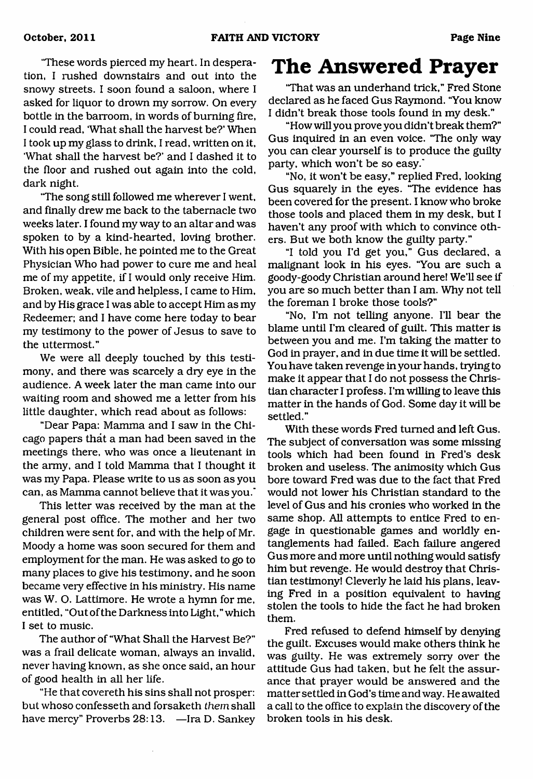'These words pierced my heart. In desperation, I rushed downstairs and out into the snowy streets. I soon found a saloon, where I asked for liquor to drown my sorrow. On every bottle in the barroom, in words of burning fire, I could read, 'What shall the harvest be?' When I took up my glass to drink, I read, written on it, 'What shall the harvest be?' and I dashed it to the floor and rushed out again into the cold, dark night.

'The song still followed me wherever I went, and finally drew me back to the tabernacle two weeks later. I found my way to an altar and was spoken to by a kind-hearted, loving brother. With his open Bible, he pointed me to the Great Physician Who had power to cure me and heal me of my appetite, if I would only receive Him. Broken, weak, vile and helpless, I came to Him, and by His grace I was able to accept Him as my Redeemer; and I have come here today to bear my testimony to the power of Jesus to save to the uttermost."

We were all deeply touched by this testimony, and there was scarcely a dry eye in the audience. A week later the man came into our waiting room and showed me a letter from his little daughter, which read about as follows:

"Dear Papa: Mamma and I saw in the Chicago papers that a man had been saved in the meetings there, who was once a lieutenant in the army, and I told Mamma that I thought it was my Papa. Please write to us as soon as you can, as Mamma cannot believe that it was you.'

This letter was received by the man at the general post office. The mother and her two children were sent for, and with the help of Mr. Moody a home was soon secured for them and employment for the man. He was asked to go to many places to give his testimony, and he soon became very effective in his ministry. His name was W. O. Lattimore. He wrote a hymn for me, entitled, "Out of the Darkness into Light," which I set to music.

The author of "What Shall the Harvest Be?" was a frail delicate woman, always an invalid, never having known, as she once said, an hour of good health in all her life.

"He that covereth his sins shall not prosper: but whoso confesseth and forsaketh *them* shall have mercy" Proverbs 28:13. —Ira D. Sankey

## <span id="page-8-0"></span>**The Answered Prayer**

'That was an underhand trick," Fred Stone declared as he faced Gus Raymond. "You know I didn't break those tools found in my desk."

"How will you prove you didn't break them?" Gus inquired in an even voice. "The only way you can clear yourself is to produce the guilty party, which won't be so easy."

"No, it won't be easy," replied Fred, looking Gus squarely in the eyes. "The evidence has been covered for the present. I know who broke those tools and placed them in my desk, but I haven't any proof with which to convince others. But we both know the guilty party."

"I told you I'd get you," Gus declared, a malignant look in his eyes. "You are such a goody-goody Christian around here! We'll see if you are so much better than I am. Why not tell the foreman I broke those tools?"

"No, I'm not telling anyone. I'll bear the blame until I'm cleared of guilt. This matter is between you and me. I'm taking the matter to God in prayer, and in due time it will be settled. You have taken revenge in your hands, trying to make it appear that I do not possess the Christian character I profess. I'm willing to leave this matter in the hands of God. Some day it will be settled."

With these words Fred turned and left Gus. The subject of conversation was some missing tools which had been found in Fred's desk broken and useless. The animosity which Gus bore toward Fred was due to the fact that Fred would not lower his Christian standard to the level of Gus and his cronies who worked in the same shop. All attempts to entice Fred to engage in questionable games and worldly entanglements had failed. Each failure angered Gus more and more until nothing would satisfy him but revenge. He would destroy that Christian testimony! Cleverly he laid his plans, leaving Fred in a position equivalent to having stolen the tools to hide the fact he had broken them.

Fred refused to defend himself by denying the guilt. Excuses would make others think he was guilty. He was extremely sorry over the attitude Gus had taken, but he felt the assurance that prayer would be answered and the matter settled in God's time and way. He awaited a call to the office to explain the discovery of the broken tools in his desk.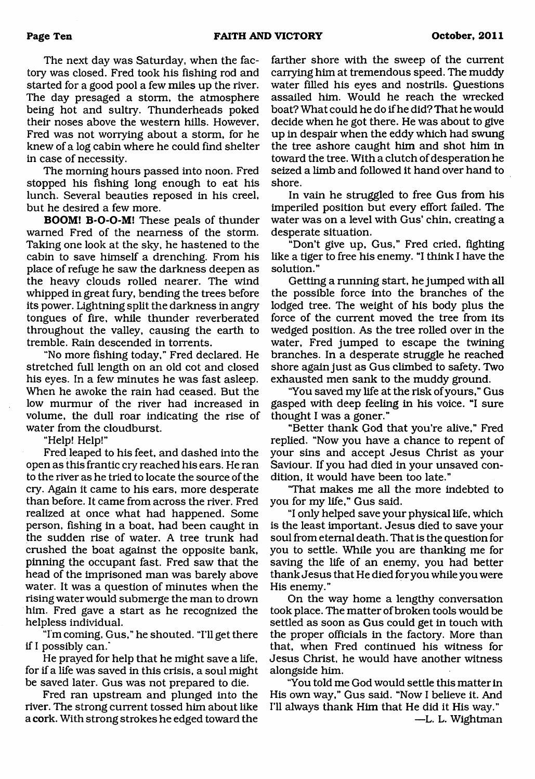The next day was Saturday, when the factory was closed. Fred took his fishing rod and started for a good pool a few miles up the river. The day presaged a storm, the atmosphere being hot and sultry. Thunderheads poked their noses above the western hills. However, Fred was not worrying about a storm, for he knew of a log cabin where he could find shelter in case of necessity.

The morning hours passed into noon. Fred stopped his fishing long enough to eat his lunch. Several beauties reposed in his creel, but he desired a few more.

**BOOM! B-O-O-M!** These peals of thunder warned Fred of the nearness of the storm. Taking one look at the sky, he hastened to the cabin to save himself a drenching. From his place of refuge he saw the darkness deepen as the heavy clouds rolled nearer. The wind whipped in great fury, bending the trees before its power. Lightning split the darkness in angry tongues of fire, while thunder reverberated throughout the valley, causing the earth to tremble. Rain descended in torrents.

"No more fishing today," Fred declared. He stretched full length on an old cot and closed his eyes. In a few minutes he was fast asleep. When he awoke the rain had ceased. But the low murmur of the river had increased in volume, the dull roar indicating the rise of water from the cloudburst.

"Help! Help!"

Fred leaped to his feet, and dashed into the open as this frantic cry reached his ears. He ran to the river as he tried to locate the source of the cry. Again it came to his ears, more desperate than before. It came from across the river. Fred realized at once what had happened. Some person, fishing in a boat, had been caught in the sudden rise of water. A tree trunk had crushed the boat against the opposite bank, pinning the occupant fast. Fred saw that the head of the imprisoned man was barely above water. It was a question of minutes when the rising water would submerge the man to drown him. Fred gave a start as he recognized the helpless individual.

"I'm coming, Gus," he shouted. 'Til get there if I possibly can."

He prayed for help that he might save a life, for if a life was saved in this crisis, a soul might be saved later. Gus was not prepared to die.

Fred ran upstream and plunged into the river. The strong current tossed him about like a cork. With strong strokes he edged toward the farther shore with the sweep of the current carrying him at tremendous speed. The muddy water filled his eyes and nostrils. Questions assailed him. Would he reach the wrecked boat? What could he do if he did? That he would decide when he got there. He was about to give up in despair when the eddy which had swung the tree ashore caught him and shot him in toward the tree. With a clutch of desperation he seized a limb and followed it hand over hand to shore.

In vain he struggled to free Gus from his imperiled position but every effort failed. The water was on a level with Gus' chin, creating a desperate situation.

"Don't give up, Gus," Fred cried, fighting like a tiger to free his enemy. "I think I have the solution."

Getting a running start, he jumped with all the possible force into the branches of the lodged tree. The weight of his body plus the force of the current moved the tree from its wedged position. As the tree rolled over in the water, Fred jumped to escape the twining branches. In a desperate struggle he reached shore again just as Gus climbed to safety. Two exhausted men sank to the muddy ground.

"You saved my life at the risk of yours," Gus gasped with deep feeling in his voice. "I sure thought I was a goner."

"Better thank God that you're alive," Fred replied. "Now you have a chance to repent of your sins and accept Jesus Christ as your Saviour. If you had died in your unsaved condition, it would have been too late."

'That makes me all the more indebted to you for my life," Gus said.

"I only helped save your physical life, which is the least important. Jesus died to save your soul from eternal death. That is the question for you to settle. While you are thanking me for saving the life of an enemy, you had better thank Jesus that He died foryou while you were His enemy."

On the way home a lengthy conversation took place. The matter of broken tools would be settled as soon as Gus could get in touch with the proper officials in the factory. More than that, when Fred continued his witness for Jesus Christ, he would have another witness alongside him.

"You told me God would settle this matter in His own way," Gus said. "Now I believe it. And I'll always thank Him that He did it His way."

—L. L. Wightman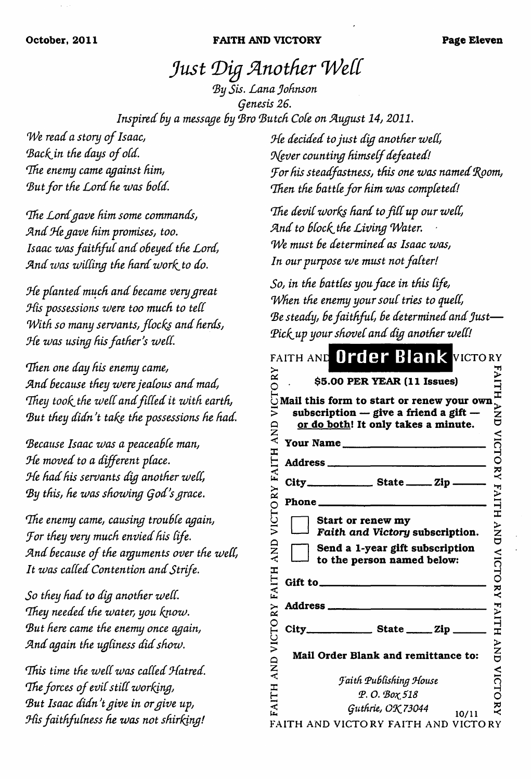#### **October, 2011 FAITH AND VICTORY Page Eleven**

# *Just Dig Another Wett*

<span id="page-10-0"></span>*By Sis. Lana Johnson genesis 26. Inspired By a message By Bro 'Butch Cole on August 14, 2011.*

*We read a story of Isaac,* Back in the days of old. *Idle enemy came against him,* But for the Lord he was bold.

*The Lord gave him some commands, A nd Ode gave him promises, too. Isaac was faithful and obeyed the Lord,* And was willing the hard work to do.

*Ode planted much and Became very great His possessions were too much to tell With so many servants, flocks and herds, Ode zvas using his father's zvett.*

*Then one day his enemy came, A nd Because they zvere jealous and mad, 'They took. the zveIC and filled it zvith earth, But they didn't take the possessions he had.*

*Because Isaac zvas a peaceaBCe man, Ode moved to a different place. Ode had his servants dig another zveCt,* By this, he was showing God's grace.

*'The enemy came, causing trouBCe again, Jor they very much envied his life. A nd Because o f the arguments over the zvett, It zvas called Contention and Strife.*

*So they had to dig another zvett. They needed the water, you know. But here came the enemy once again, A nd again the ugliness did shozv.*

*'This time the zvett zvas catted Odatred. The forces of evil still working, But Isaac didn't give in or give up, Ohs faithfulness he zvas not shirking!*

*He decided to just dig another well, 0\(ever counting himself defeated! dor his steadfastness, this one zoos named doom,* Then the battle for him was completed!

*The devtt zvorks hard to fitt up our zvett,* And to block the Living Water. *We must Be determined as Isaac zvas, In our purpose zve must not falter!*

*So, in the Battles you face in this life, When the enemy your soul tries to quett, Be steady, Be faithful, Be determined and Just*— *(Pick-up your shovel and dig another zvett!*

|                          | FAITH AND Order Blank VICTORY                                                                                                                                                                         |                    |
|--------------------------|-------------------------------------------------------------------------------------------------------------------------------------------------------------------------------------------------------|--------------------|
| RΥ                       | \$5.00 PER YEAR (11 Issues)                                                                                                                                                                           |                    |
| $\tilde{\bar{z}}$<br>AND | $\overline{\bigcirc}$ . 55.00 PER YEAR (11 issues)<br>$\overline{\bigcirc}$ Mail this form to start or renew your own<br>subscription - give a friend a gift -<br>or do both! It only takes a minute. | <b>FAITH AND</b>   |
|                          | Your Name                                                                                                                                                                                             |                    |
|                          | Address ___________________                                                                                                                                                                           | <b>VICTORY</b>     |
| VICTORY FAITH            |                                                                                                                                                                                                       |                    |
|                          |                                                                                                                                                                                                       | FAITH              |
|                          | Start or renew my<br>Faith and Victory subscription.                                                                                                                                                  |                    |
| AND                      | Send a 1-year gift subscription<br>to the person named below:                                                                                                                                         |                    |
| FAITH                    | Gift to $\qquad \qquad$                                                                                                                                                                               | <b>AND VICTORY</b> |
|                          |                                                                                                                                                                                                       | <b>FAILH</b>       |
| VICTORY                  |                                                                                                                                                                                                       |                    |
| $\frac{1}{2}$            | Mail Order Blank and remittance to:                                                                                                                                                                   | ANA                |
|                          | <b>Jaith Publishing House</b>                                                                                                                                                                         | <b>VICTORY</b>     |
| <b>FAITH</b>             | P.O. Box 518                                                                                                                                                                                          |                    |
|                          | Guthrie, OK 73044<br>10/11                                                                                                                                                                            |                    |

FAITH AND VICTORY FAITH AND VICTORY